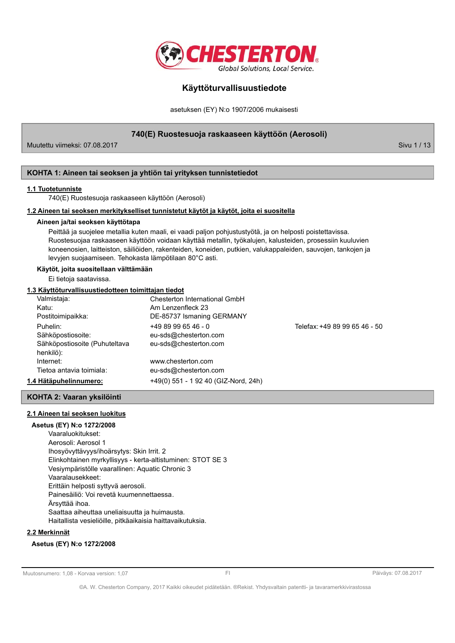

asetuksen (EY) N:o 1907/2006 mukaisesti

740(E) Ruostesuoja raskaaseen käyttöön (Aerosoli)

Muutettu viimeksi: 07.08.2017

Sivu 1 / 13

### KOHTA 1: Aineen tai seoksen ja yhtiön tai yrityksen tunnistetiedot

### 1.1 Tuotetunniste

740(E) Ruostesuoja raskaaseen käyttöön (Aerosoli)

### 1.2 Aineen tai seoksen merkitykselliset tunnistetut käytöt ja käytöt, joita ei suositella

### Aineen ja/tai seoksen käyttötapa

Peittää ja suojelee metallia kuten maali, ei vaadi paljon pohjustustyötä, ja on helposti poistettavissa. Ruostesuojaa raskaaseen käyttöön voidaan käyttää metallin, työkaluien, kalusteiden, prosessiin kuuluvien koneenosien, laitteiston, säiliöiden, rakenteiden, koneiden, putkien, valukappaleiden, sauvojen, tankojen ja levyjen suojaamiseen. Tehokasta lämpötilaan 80°C asti.

### Käytöt, joita suositellaan välttämään

Ei tietoja saatavissa.

### 1.3 Käyttöturvallisuustiedotteen toimittajan tiedot

| Valmistaja:                   | Chesterton International GmbH        |                               |
|-------------------------------|--------------------------------------|-------------------------------|
| Katu:                         | Am Lenzenfleck 23                    |                               |
| Postitoimipaikka:             | DE-85737 Ismaning GERMANY            |                               |
| Puhelin:                      | $+4989996546 - 0$                    | Telefax: +49 89 99 65 46 - 50 |
| Sähköpostiosoite:             | eu-sds@chesterton.com                |                               |
| Sähköpostiosoite (Puhuteltava | eu-sds@chesterton.com                |                               |
| henkilö):                     |                                      |                               |
| Internet:                     | www.chesterton.com                   |                               |
| Tietoa antavia toimiala:      | eu-sds@chesterton.com                |                               |
| 1.4 Hätäpuhelinnumero:        | +49(0) 551 - 1 92 40 (GIZ-Nord, 24h) |                               |

### KOHTA 2: Vaaran yksilöinti

### 2.1 Aineen tai seoksen luokitus

Asetus (EY) N:o 1272/2008 Vaaraluokitukset: Aerosoli: Aerosol 1 Ihosyövyttävyys/ihoärsytys: Skin Irrit. 2 Elinkohtainen myrkyllisyys - kerta-altistuminen: STOT SE 3 Vesiympäristölle vaarallinen: Aquatic Chronic 3 Vaaralausekkeet: Erittäin helposti syttyvä aerosoli. Painesäiliö: Voi revetä kuumennettaessa. Ärsyttää ihoa. Saattaa aiheuttaa uneliaisuutta ja huimausta. Haitallista vesieliöille, pitkäaikaisia haittavaikutuksia.

### 2.2 Merkinnät

### Asetus (EY) N:o 1272/2008

Muutosnumero: 1.08 - Korvaa version: 1.07

 $F1$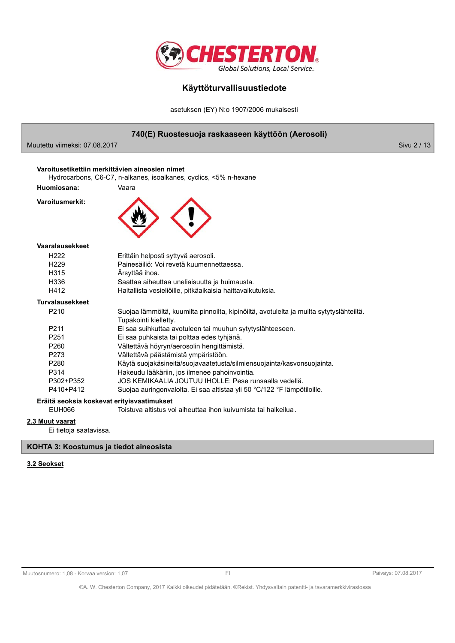

asetuksen (EY) N:o 1907/2006 mukaisesti

|                               | 740(E) Ruostesuoja raskaaseen käyttöön (Aerosoli)                                                                    |             |
|-------------------------------|----------------------------------------------------------------------------------------------------------------------|-------------|
| Muutettu viimeksi: 07.08.2017 |                                                                                                                      | Sivu 2 / 13 |
|                               | Varoitusetikettiin merkittävien aineosien nimet<br>Hydrocarbons, C6-C7, n-alkanes, isoalkanes, cyclics, <5% n-hexane |             |
| Huomiosana:                   | Vaara                                                                                                                |             |
| Varoitusmerkit:               |                                                                                                                      |             |
| Vaaralausekkeet               |                                                                                                                      |             |
| H <sub>222</sub>              | Erittäin helposti syttyvä aerosoli.                                                                                  |             |
| H <sub>229</sub>              | Painesäiliö: Voi revetä kuumennettaessa.                                                                             |             |
| H315                          | Ärsyttää ihoa.                                                                                                       |             |
| H336                          | Saattaa aiheuttaa uneliaisuutta ja huimausta.                                                                        |             |
| H412                          | Haitallista vesieliöille, pitkäaikaisia haittavaikutuksia.                                                           |             |
| <b>Turvalausekkeet</b>        |                                                                                                                      |             |
| P210                          | Suojaa lämmöltä, kuumilta pinnoilta, kipinöiltä, avotulelta ja muilta sytytyslähteiltä.<br>Tupakointi kielletty.     |             |
| P211                          | Ei saa suihkuttaa avotuleen tai muuhun sytytyslähteeseen.                                                            |             |
| P <sub>251</sub>              | Ei saa puhkaista tai polttaa edes tyhjänä.                                                                           |             |
| P260                          | Vältettävä höyryn/aerosolin hengittämistä.                                                                           |             |
| P273                          | Vältettävä päästämistä ympäristöön.                                                                                  |             |
| P280                          | Käytä suojakäsineitä/suojavaatetusta/silmiensuojainta/kasvonsuojainta.                                               |             |
| P314                          | Hakeudu lääkäriin, jos ilmenee pahoinvointia.                                                                        |             |
| P302+P352                     | JOS KEMIKAALIA JOUTUU IHOLLE: Pese runsaalla vedellä.                                                                |             |
| P410+P412                     | Suojaa auringonvalolta. Ei saa altistaa yli 50 °C/122 °F lämpötiloille.                                              |             |
|                               | Eräitä seoksia koskevat erityisvaatimukset                                                                           |             |
| <b>EUH066</b>                 | Toistuva altistus voi aiheuttaa ihon kuivumista tai halkeilua.                                                       |             |
| 2.3 Muut vaarat               |                                                                                                                      |             |

Ei tietoja saatavissa.

### KOHTA 3: Koostumus ja tiedot aineosista

### 3.2 Seokset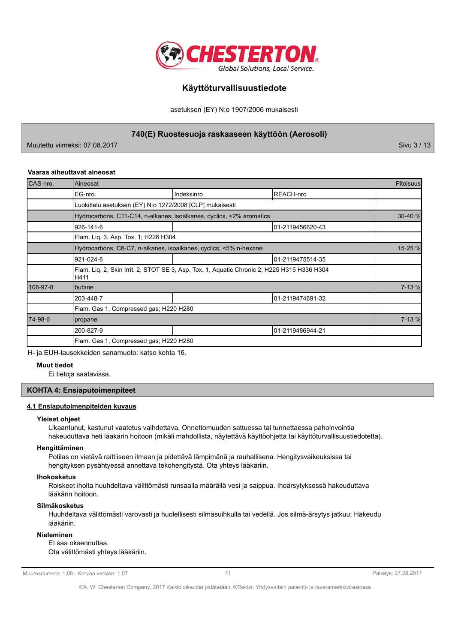

asetuksen (EY) N:o 1907/2006 mukaisesti

740(E) Ruostesuoja raskaaseen käyttöön (Aerosoli)

Muutettu viimeksi: 07.08.2017

Sivu 3 / 13

### Vaaraa aiheuttavat aineosat

| CAS-nro. | Aineosat                                                                                            |                                                                      |                  | <b>Pitoisuus</b> |  |
|----------|-----------------------------------------------------------------------------------------------------|----------------------------------------------------------------------|------------------|------------------|--|
|          | EG-nro.                                                                                             | Indeksinro                                                           | REACH-nro        |                  |  |
|          | Luokittelu asetuksen (EY) N:o 1272/2008 [CLP] mukaisesti                                            |                                                                      |                  |                  |  |
|          |                                                                                                     | Hydrocarbons, C11-C14, n-alkanes, isoalkanes, cyclics, <2% aromatics |                  | 30-40 %          |  |
|          | 926-141-6                                                                                           |                                                                      | 01-2119456620-43 |                  |  |
|          | Flam. Lig. 3, Asp. Tox. 1; H226 H304                                                                |                                                                      |                  |                  |  |
|          | Hydrocarbons, C6-C7, n-alkanes, isoalkanes, cyclics, <5% n-hexane                                   |                                                                      |                  |                  |  |
|          | 921-024-6                                                                                           |                                                                      | 01-2119475514-35 |                  |  |
|          | Flam. Liq. 2, Skin Irrit. 2, STOT SE 3, Asp. Tox. 1, Aquatic Chronic 2; H225 H315 H336 H304<br>H411 |                                                                      |                  |                  |  |
| 106-97-8 | <b>Ibutane</b>                                                                                      |                                                                      |                  | 7-13 %           |  |
|          | 203-448-7                                                                                           |                                                                      | 01-2119474691-32 |                  |  |
|          | Flam. Gas 1, Compressed gas; H220 H280                                                              |                                                                      |                  |                  |  |
| 74-98-6  | propane                                                                                             |                                                                      |                  | 7-13 %           |  |
|          | 200-827-9                                                                                           |                                                                      | 01-2119486944-21 |                  |  |
|          | Flam. Gas 1, Compressed gas; H220 H280                                                              |                                                                      |                  |                  |  |

H- ja EUH-lausekkeiden sanamuoto: katso kohta 16.

### **Muut tiedot**

Ei tietoja saatavissa.

### **KOHTA 4: Ensiaputoimenpiteet**

### 4.1 Ensiaputoimenpiteiden kuvaus

#### Yleiset ohjeet

Likaantunut, kastunut vaatetus vaihdettava. Onnettomuuden sattuessa tai tunnettaessa pahoinvointia hakeuduttava heti lääkärin hoitoon (mikäli mahdollista, näytettävä käyttöohjetta tai käyttöturvallisuustiedotetta).

### Hengittäminen

Potilas on vietävä raittiiseen ilmaan ja pidettävä lämpimänä ja rauhallisena. Hengitysvaikeuksissa tai hengityksen pysähtyessä annettava tekohengitystä. Ota yhteys lääkäriin.

#### **Ihokosketus**

Roiskeet iholta huuhdeltava välittömästi runsaalla määrällä vesi ja saippua. Ihoärsytyksessä hakeuduttava lääkärin hoitoon.

### Silmäkosketus

Huuhdeltava välittömästi varovasti ja huolellisesti silmäsuihkulla tai vedellä. Jos silmä-ärsytys jatkuu: Hakeudu lääkäriin.

### **Nieleminen**

El saa oksennuttaa. Ota välittömästi yhteys lääkäriin.

Muutosnumero: 1,08 - Korvaa version: 1,07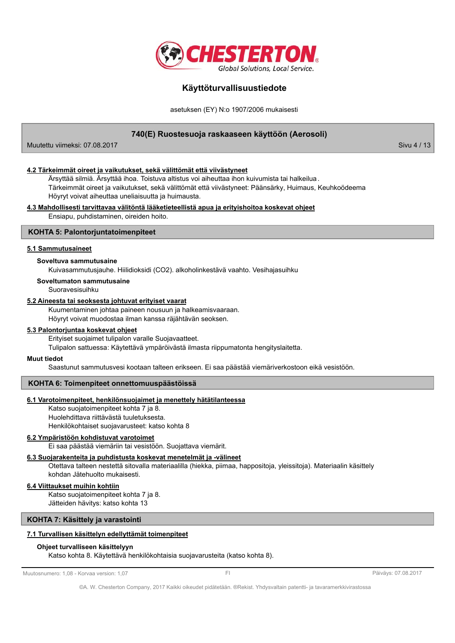

asetuksen (EY) N:o 1907/2006 mukaisesti

### 740(E) Ruostesuoja raskaaseen käyttöön (Aerosoli)

Muutettu viimeksi: 07.08.2017

Sivu 4 / 13

### 4.2 Tärkeimmät oireet ja vaikutukset, sekä välittömät että viivästyneet

Ärsyttää silmiä. Ärsyttää ihoa. Toistuva altistus voi aiheuttaa ihon kuivumista tai halkeilua. Tärkeimmät oireet ja vaikutukset, sekä välittömät että viivästyneet: Päänsärky, Huimaus, Keuhkoödeema Höyryt voivat aiheuttaa uneliaisuutta ja huimausta.

### 4.3 Mahdollisesti tarvittavaa välitöntä lääketieteellistä apua ja erityishoitoa koskevat ohjeet

Ensiapu, puhdistaminen, oireiden hoito.

### **KOHTA 5: Palontorjuntatoimenpiteet**

### 5.1 Sammutusaineet

#### Soveltuva sammutusaine

Kuivasammutusjauhe. Hiilidioksidi (CO2). alkoholinkestävä vaahto. Vesihajasuihku

Soveltumaton sammutusaine

Suoravesisuihku

### 5.2 Aineesta tai seoksesta johtuvat erityiset vaarat

Kuumentaminen johtaa paineen nousuun ja halkeamisvaaraan. Höyryt voivat muodostaa ilman kanssa räjähtävän seoksen.

### 5.3 Palontorjuntaa koskevat ohjeet

Erityiset suojaimet tulipalon varalle Suojavaatteet.

Tulipalon sattuessa: Käytettävä ympäröivästä ilmasta riippumatonta hengityslaitetta.

### **Muut tiedot**

Saastunut sammutusvesi kootaan talteen erikseen. Ei saa päästää viemäriverkostoon eikä vesistöön.

### KOHTA 6: Toimenpiteet onnettomuuspäästöissä

### 6.1 Varotoimenpiteet, henkilönsuojaimet ja menettely hätätilanteessa

Katso suojatoimenpiteet kohta 7 ja 8. Huolehdittava riittävästä tuuletuksesta. Henkilökohtaiset suojavarusteet: katso kohta 8

### 6.2 Ympäristöön kohdistuvat varotoimet

Ei saa päästää viemäriin tai vesistöön. Suojattava viemärit.

#### 6.3 Suojarakenteita ja puhdistusta koskevat menetelmät ja -välineet

Otettava talteen nestettä sitovalla materiaalilla (hiekka, piimaa, happositoja, yleissitoja). Materiaalin käsittely kohdan Jätehuolto mukaisesti.

### 6.4 Viittaukset muihin kohtiin

Katso suojatoimenpiteet kohta 7 ja 8. Jätteiden hävitys: katso kohta 13

### KOHTA 7: Käsittely ja varastointi

### 7.1 Turvallisen käsittelyn edellyttämät toimenpiteet

### Ohjeet turvalliseen käsittelyyn

Katso kohta 8. Käytettävä henkilökohtaisia suojavarusteita (katso kohta 8).

Muutosnumero: 1,08 - Korvaa version: 1,07

Päiväys: 07.08.2017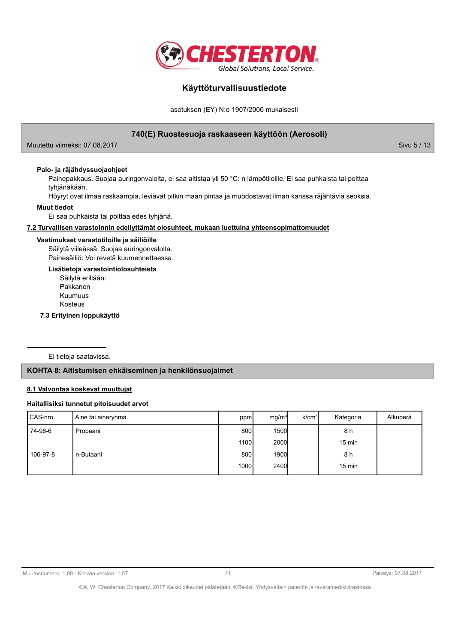

asetuksen (EY) N:o 1907/2006 mukaisesti

### 740(E) Ruostesuoja raskaaseen käyttöön (Aerosoli)

Muutettu viimeksi: 07.08.2017

Palo- ja räjähdyssuojaohjeet

Painepakkaus. Suojaa auringonvalolta, ei saa altistaa yli 50 °C: n lämpötiloille. Ei saa puhkaista tai polttaa tyhjänäkään.

Höyryt ovat ilmaa raskaampia, leviävät pitkin maan pintaa ja muodostavat ilman kanssa räjähtäviä seoksia.

### **Muut tiedot**

Ei saa puhkaista tai polttaa edes tyhjänä.

### 7.2 Turvallisen varastoinnin edellyttämät olosuhteet, mukaan luettuina yhteensopimattomuudet

#### Vaatimukset varastotiloille ja säiliöille

Säilytä viileässä. Suojaa auringonvalolta. Painesäiliö: Voi revetä kuumennettaessa.

Lisätietoja varastointiolosuhteista

Säilytä erillään: Pakkanen Kuumuus Kosteus

7.3 Erityinen loppukäyttö

Ei tietoja saatavissa.

### KOHTA 8: Altistumisen ehkäiseminen ja henkilönsuojaimet

### 8.1 Valvontaa koskevat muuttujat

### Haitallisiksi tunnetut pitoisuudet arvot

| CAS-nro. | Aine tai aineryhmä | ppm  | mg/m <sup>3</sup> | k/cm <sup>3</sup> | Kategoria        | Alkuperä |
|----------|--------------------|------|-------------------|-------------------|------------------|----------|
| 74-98-6  | Propaani           | 800l | 1500              |                   | 8 h              |          |
|          |                    | 1100 | 2000              |                   | $15 \text{ min}$ |          |
| 106-97-8 | n-Butaani          | 800  | 1900              |                   | 8 h              |          |
|          |                    | 1000 | 2400              |                   | $15 \text{ min}$ |          |

Sivu 5 / 13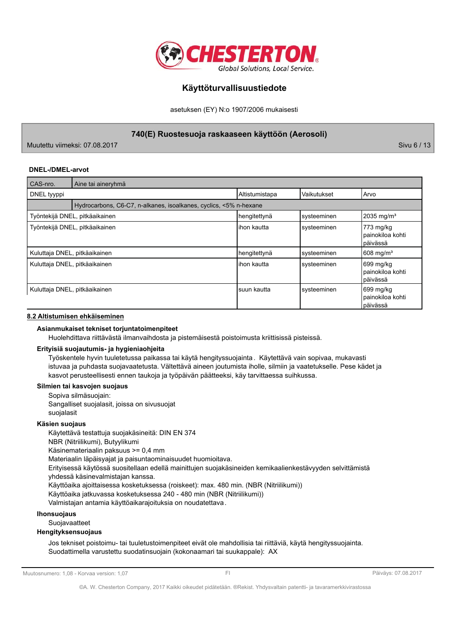

asetuksen (EY) N:o 1907/2006 mukaisesti

740(E) Ruostesuoja raskaaseen käyttöön (Aerosoli)

Muutettu viimeksi: 07.08.2017

Sivu 6 / 13

### **DNEL-/DMEL-arvot**

| CAS-nro.                      | Aine tai aineryhmä                                                |                |             |                                            |
|-------------------------------|-------------------------------------------------------------------|----------------|-------------|--------------------------------------------|
| DNEL tyyppi                   |                                                                   | Altistumistapa | Vaikutukset | Arvo                                       |
|                               | Hydrocarbons, C6-C7, n-alkanes, isoalkanes, cyclics, <5% n-hexane |                |             |                                            |
|                               | Työntekijä DNEL, pitkäaikainen                                    | hengitettynä   | systeeminen | 2035 mg/m <sup>3</sup>                     |
|                               | Työntekijä DNEL, pitkäaikainen                                    | lihon kautta   | systeeminen | 773 mg/kg<br>painokiloa kohti<br> päivässä |
| Kuluttaja DNEL, pitkäaikainen |                                                                   | hengitettynä   | systeeminen | 608 mg/m <sup>3</sup>                      |
| Kuluttaja DNEL, pitkäaikainen |                                                                   | lihon kautta   | systeeminen | 699 mg/kg<br>painokiloa kohti<br>lpäivässä |
| Kuluttaja DNEL, pitkäaikainen |                                                                   | Isuun kautta   | systeeminen | 699 mg/kg<br>painokiloa kohti<br>lpäivässä |

### 8.2 Altistumisen ehkäiseminen

### Asianmukaiset tekniset torjuntatoimenpiteet

Huolehdittava riittävästä ilmanvaihdosta ja pistemäisestä poistoimusta kriittisissä pisteissä.

#### Erityisiä suojautumis- ja hygieniaohjeita

Työskentele hyvin tuuletetussa paikassa tai käytä hengityssuojainta. Käytettävä vain sopivaa, mukavasti istuvaa ja puhdasta suojavaatetusta. Vältettävä aineen joutumista iholle, silmiin ja vaatetukselle. Pese kädet ja kasvot perusteellisesti ennen taukoja ja työpäivän päätteeksi, käy tarvittaessa suihkussa.

### Silmien tai kasvojen suojaus

Sopiva silmäsuojain: Sangalliset suojalasit, joissa on sivusuojat suojalasit

### Käsien suojaus

Käytettävä testattuja suojakäsineitä: DIN EN 374 NBR (Nitriilikumi), Butyylikumi Käsinemateriaalin paksuus >= 0,4 mm Materiaalin läpäisyajat ja paisuntaominaisuudet huomioitava. Erityisessä käytössä suositellaan edellä mainittujen suojakäsineiden kemikaalienkestävyyden selvittämistä yhdessä käsinevalmistajan kanssa. Käyttöaika ajoittaisessa kosketuksessa (roiskeet): max. 480 min. (NBR (Nitriilikumi)) Käyttöaika jatkuvassa kosketuksessa 240 - 480 min (NBR (Nitriilikumi)) Valmistajan antamia käyttöaikarajoituksia on noudatettava.

### Ihonsuojaus

### Suoiavaatteet

### **Hengityksensuojaus**

Jos tekniset poistoimu- tai tuuletustoimenpiteet eivät ole mahdollisia tai riittäviä, käytä hengityssuojainta. Suodattimella varustettu suodatinsuojain (kokonaamari tai suukappale): AX

Muutosnumero: 1,08 - Korvaa version: 1,07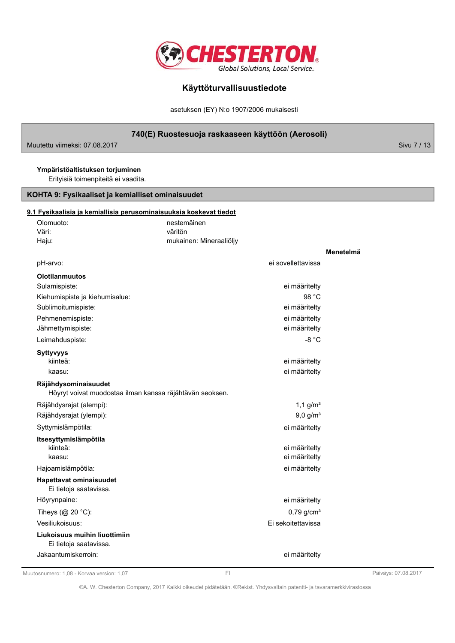

asetuksen (EY) N:o 1907/2006 mukaisesti

### 740(E) Ruostesuoja raskaaseen käyttöön (Aerosoli)

Muutettu viimeksi: 07.08.2017

Sivu 7 / 13

### Ympäristöaltistuksen torjuminen

Erityisiä toimenpiteitä ei vaadita.

### KOHTA 9: Fysikaaliset ja kemialliset ominaisuudet

# <u>9.</u>

| 1 Fysikaalisia ja kemiallisia perusominaisuuksia koskevat tiedot |                                                          |                          |           |
|------------------------------------------------------------------|----------------------------------------------------------|--------------------------|-----------|
| Olomuoto:                                                        | nestemäinen                                              |                          |           |
| Väri:                                                            | väritön                                                  |                          |           |
| Haju:                                                            | mukainen: Mineraaliöljy                                  |                          |           |
|                                                                  |                                                          |                          | Menetelmä |
| pH-arvo:                                                         |                                                          | ei sovellettavissa       |           |
| <b>Olotilanmuutos</b>                                            |                                                          |                          |           |
| Sulamispiste:                                                    |                                                          | ei määritelty            |           |
| Kiehumispiste ja kiehumisalue:                                   |                                                          | 98 °C                    |           |
| Sublimoitumispiste:                                              |                                                          | ei määritelty            |           |
| Pehmenemispiste:                                                 |                                                          | ei määritelty            |           |
| Jähmettymispiste:                                                |                                                          | ei määritelty            |           |
| Leimahduspiste:                                                  |                                                          | $-8 °C$                  |           |
| <b>Syttyvyys</b>                                                 |                                                          |                          |           |
| kiinteä:                                                         |                                                          | ei määritelty            |           |
| kaasu:                                                           |                                                          | ei määritelty            |           |
| Räjähdysominaisuudet                                             | Höyryt voivat muodostaa ilman kanssa räjähtävän seoksen. |                          |           |
| Räjähdysrajat (alempi):                                          |                                                          | $1,1$ g/m <sup>3</sup>   |           |
| Räjähdysrajat (ylempi):                                          |                                                          | $9,0$ g/m <sup>3</sup>   |           |
| Syttymislämpötila:                                               |                                                          | ei määritelty            |           |
| Itsesyttymislämpötila                                            |                                                          |                          |           |
| kiinteä:                                                         |                                                          | ei määritelty            |           |
| kaasu:                                                           |                                                          | ei määritelty            |           |
| Hajoamislämpötila:                                               |                                                          | ei määritelty            |           |
| Hapettavat ominaisuudet<br>Ei tietoja saatavissa.                |                                                          |                          |           |
| Höyrynpaine:                                                     |                                                          | ei määritelty            |           |
| Tiheys $(@ 20 °C)$ :                                             |                                                          | $0,79$ g/cm <sup>3</sup> |           |
| Vesiliukoisuus:                                                  |                                                          | Ei sekoitettavissa       |           |
| Liukoisuus muihin liuottimiin                                    |                                                          |                          |           |
| Ei tietoja saatavissa.                                           |                                                          |                          |           |
| Jakaantumiskerroin:                                              |                                                          | ei määriteltv            |           |

Muutosnumero: 1,08 - Korvaa version: 1,07

©A. W. Chesterton Company, 2017 Kaikki oikeudet pidätetään. ®Rekist. Yhdysvaltain patentti- ja tavaramerkkivirastossa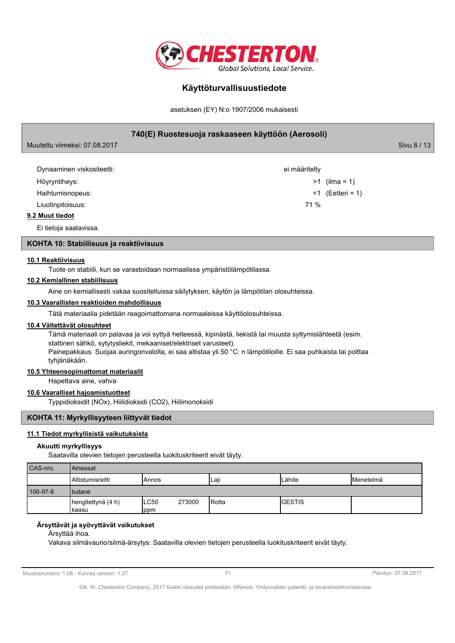

asetuksen (EY) N:o 1907/2006 mukaisesti

### 740(E) Ruostesuoja raskaaseen käyttöön (Aerosoli)

Sivu 8 / 13

| Dynaaminen viskositeetti: | ei määritelty          |
|---------------------------|------------------------|
| Höyryntiheys:             | $>1$ (ilma = 1)        |
| Haihtumisnopeus:          | $\leq 1$ (Eetteri = 1) |
| Liuotinpitoisuus:         | 71 %                   |
| 9.2 Muut tiedot           |                        |

Ei tietoja saatavissa.

Muutettu viimeksi: 07.08.2017

### KOHTA 10: Stabiilisuus ja reaktiivisuus

### 10.1 Reaktiivisuus

Tuote on stabiili, kun se varastoidaan normaalissa ympäristölämpötilassa.

### 10.2 Kemiallinen stabiilisuus

Aine on kemiallisesti vakaa suositelluissa säilytyksen, käytön ja lämpötilan olosuhteissa.

### 10.3 Vaarallisten reaktioiden mahdollisuus

Tätä materiaalia pidetään reagoimattomana normaaleissa käyttöolosuhteissa.

### 10.4 Vältettävät olosuhteet

Tämä materiaali on palavaa ja voi syttyä helteessä, kipinästä, liekistä tai muusta syttymislähteetä (esim. stattinen sähkö, sytytysliekit, mekaaniset/elektriset varusteet). Painepakkaus. Suojaa auringonvalolta, ei saa altistaa yli 50 °C: n lämpötiloille. Ei saa puhkaista tai polttaa tyhjänäkään.

### 10.5 Yhteensopimattomat materiaalit

Hapettava aine, vahva

### 10.6 Vaaralliset hajoamistuotteet

Typpidioksidit (NOx), Hiilidioksidi (CO2), Hiilimonoksidi

### KOHTA 11: Myrkyllisyyteen liittyvät tiedot

### 11.1 Tiedot myrkyllisistä vaikutuksista

### Akuutti myrkyllisyys

Saatavilla olevien tietojen perusteella luokituskriteerit eivät täyty.

| CAS-nro. | <b>Aineosat</b>             |              |        |        |                |                  |  |  |  |
|----------|-----------------------------|--------------|--------|--------|----------------|------------------|--|--|--|
|          | <b>I</b> Altistumisreitti   | <b>Annos</b> |        | Laji   | <b>ILähde</b>  | <b>Menetelmä</b> |  |  |  |
| 106-97-8 | <b>I</b> butane             |              |        |        |                |                  |  |  |  |
|          | hengitettynä (4 h)<br>kaasu | ILC50<br>ppm | 273000 | IRotta | <b>IGESTIS</b> |                  |  |  |  |

### Ärsyttävät ja syövyttävät vaikutukset

### Ärsyttää ihoa.

Vakava silmävaurio/silmä-ärsytys: Saatavilla olevien tietojen perusteella luokituskriteerit eivät täyty.

Muutosnumero: 1,08 - Korvaa version: 1,07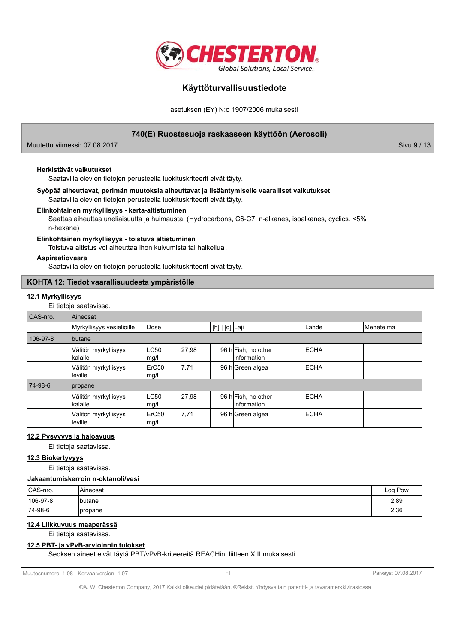

asetuksen (EY) N:o 1907/2006 mukaisesti

### 740(E) Ruostesuoja raskaaseen käyttöön (Aerosoli)

Muutettu viimeksi: 07.08.2017

#### Herkistävät vaikutukset

Saatavilla olevien tietojen perusteella luokituskriteerit eivät täyty.

### Syöpää aiheuttavat, perimän muutoksia aiheuttavat ja lisääntymiselle vaaralliset vaikutukset Saatavilla olevien tietojen perusteella luokituskriteerit eivät täyty.

### Elinkohtainen myrkyllisyys - kerta-altistuminen

Saattaa aiheuttaa uneliaisuutta ja huimausta. (Hydrocarbons, C6-C7, n-alkanes, isoalkanes, cyclics, <5% n-hexane)

#### Elinkohtainen myrkyllisyys - toistuva altistuminen

Toistuva altistus voi aiheuttaa ihon kuivumista tai halkeilua.

### Aspiraatiovaara

Saatavilla olevien tietojen perusteella luokituskriteerit eivät täyty.

### KOHTA 12: Tiedot vaarallisuudesta ympäristölle

### 12.1 Myrkyllisyys

Ei tietoja saatavissa.

| CAS-nro. | Aineosat                        |                     |       |                |                                     |             |           |  |
|----------|---------------------------------|---------------------|-------|----------------|-------------------------------------|-------------|-----------|--|
|          | Myrkyllisyys vesieliöille       | Dose                |       | [h]   [d] Laji |                                     | Lähde       | Menetelmä |  |
| 106-97-8 | butane                          |                     |       |                |                                     |             |           |  |
|          | Välitön myrkyllisyys<br>kalalle | <b>LC50</b><br>mg/l | 27.98 |                | 96 h Fish, no other<br>linformation | <b>ECHA</b> |           |  |
|          | Välitön myrkyllisyys<br>leville | ErC50<br>mg/l       | 7,71  |                | 96 h Green algea                    | <b>ECHA</b> |           |  |
| 74-98-6  | propane                         |                     |       |                |                                     |             |           |  |
|          | Välitön myrkyllisyys<br>kalalle | <b>LC50</b><br>mg/l | 27,98 |                | 96 h Fish, no other<br>linformation | <b>ECHA</b> |           |  |
|          | Välitön myrkyllisyys<br>leville | ErC50<br>mg/l       | 7,71  |                | 96 h Green algea                    | <b>ECHA</b> |           |  |

### 12.2 Pysyvyys ja hajoavuus

Ei tietoja saatavissa.

### 12.3 Biokertyvyys

Ei tietoja saatavissa.

Jakaantumiskerroin n-oktanoli/vesi

| CAS-nro. | <b>Aineosat</b>  | Log Pow |
|----------|------------------|---------|
| 106-97-8 | <b>I</b> butane  | 2,89    |
| 74-98-6  | <b>I</b> propane | 2,36    |

### 12.4 Liikkuvuus maaperässä

Ei tietoja saatavissa.

### 12.5 PBT- ja vPvB-arvioinnin tulokset

Seoksen aineet eivät täytä PBT/vPvB-kriteereitä REACHin, liitteen XIII mukaisesti.

Muutosnumero: 1,08 - Korvaa version: 1,07

Päiväys: 07.08.2017

Sivu 9 / 13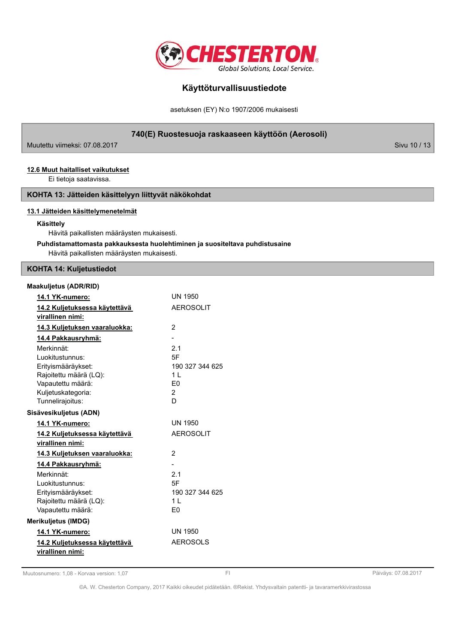

asetuksen (EY) N:o 1907/2006 mukaisesti

740(E) Ruostesuoja raskaaseen käyttöön (Aerosoli)

Muutettu viimeksi: 07.08.2017

### 12.6 Muut haitalliset vaikutukset

Ei tietoja saatavissa.

### KOHTA 13: Jätteiden käsittelyyn liittyvät näkökohdat

### 13.1 Jätteiden käsittelymenetelmät

### Käsittely

Hävitä paikallisten määräysten mukaisesti.

### Puhdistamattomasta pakkauksesta huolehtiminen ja suositeltava puhdistusaine Hävitä paikallisten määräysten mukaisesti.

### **KOHTA 14: Kuljetustiedot**

### Maakuljetus (ADR/RID)

| 14.1 YK-numero:                                                                                                          | UN 1950                                                                |
|--------------------------------------------------------------------------------------------------------------------------|------------------------------------------------------------------------|
| 14.2 Kuljetuksessa käytettävä<br>virallinen nimi:                                                                        | <b>AEROSOLIT</b>                                                       |
| 14.3 Kuljetuksen vaaraluokka:                                                                                            | $\overline{2}$                                                         |
| 14.4 Pakkausryhmä:                                                                                                       |                                                                        |
| Merkinnät:<br>Luokitustunnus:<br>Erityismääräykset:<br>Rajoitettu määrä (LQ):<br>Vapautettu määrä:<br>Kuljetuskategoria: | 2.1<br>5F<br>190 327 344 625<br>11<br>E <sub>0</sub><br>$\overline{2}$ |
| Tunnelirajoitus:                                                                                                         | D                                                                      |
| Sisävesikuljetus (ADN)                                                                                                   |                                                                        |
| 14.1 YK-numero:                                                                                                          | <b>UN 1950</b>                                                         |
| 14.2 Kuljetuksessa käytettävä                                                                                            | <b>AEROSOLIT</b>                                                       |
| virallinen nimi:                                                                                                         |                                                                        |
| 14.3 Kuljetuksen vaaraluokka:                                                                                            | 2                                                                      |
| 14.4 Pakkausryhmä:                                                                                                       |                                                                        |
| Merkinnät:<br>Luokitustunnus:<br>Erityismääräykset:<br>Rajoitettu määrä (LQ):<br>Vapautettu määrä:                       | 2.1<br>5F<br>190 327 344 625<br>1 <sup>1</sup><br>F0                   |
| <b>Merikulietus (IMDG)</b>                                                                                               |                                                                        |
| <u>14.1 YK-numero:</u>                                                                                                   | <b>UN 1950</b>                                                         |
| 14.2 Kuljetuksessa käytettävä<br>virallinen nimi:                                                                        | <b>AEROSOLS</b>                                                        |

Muutosnumero: 1,08 - Korvaa version: 1,07

 $F1$ 

Päiväys: 07.08.2017

©A. W. Chesterton Company, 2017 Kaikki oikeudet pidätetään. ®Rekist. Yhdysvaltain patentti- ja tavaramerkkivirastossa

Sivu 10 / 13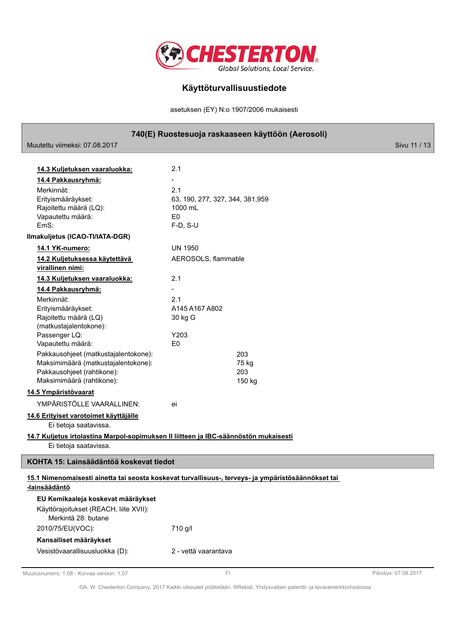

asetuksen (EY) N:o 1907/2006 mukaisesti

### 740(E) Ruostesuoja raskaaseen käyttöön (Aerosoli)

| MUUTETTU VIIMEKSI: UZ.U8.2017                                                                      |                                  |        | <b>SIVU TT / TC</b> |
|----------------------------------------------------------------------------------------------------|----------------------------------|--------|---------------------|
|                                                                                                    |                                  |        |                     |
| 14.3 Kuljetuksen vaaraluokka:                                                                      | 2.1                              |        |                     |
| 14.4 Pakkausryhmä:                                                                                 | $\overline{a}$                   |        |                     |
| Merkinnät:                                                                                         | 2.1                              |        |                     |
| Erityismääräykset:                                                                                 | 63, 190, 277, 327, 344, 381, 959 |        |                     |
| Rajoitettu määrä (LQ):                                                                             | 1000 mL                          |        |                     |
| Vapautettu määrä:                                                                                  | E <sub>0</sub>                   |        |                     |
| EmS:                                                                                               | $F-D, S-U$                       |        |                     |
| Ilmakuljetus (ICAO-TI/IATA-DGR)                                                                    |                                  |        |                     |
| 14.1 YK-numero:                                                                                    | <b>UN 1950</b>                   |        |                     |
| 14.2 Kuljetuksessa käytettävä                                                                      | AEROSOLS, flammable              |        |                     |
| virallinen nimi:                                                                                   |                                  |        |                     |
| 14.3 Kuljetuksen vaaraluokka:                                                                      | 2.1                              |        |                     |
| 14.4 Pakkausryhmä:                                                                                 | $\overline{\phantom{a}}$         |        |                     |
| Merkinnät:                                                                                         | 2.1                              |        |                     |
| Erityismääräykset:                                                                                 | A145 A167 A802                   |        |                     |
| Rajoitettu määrä (LQ)<br>(matkustajalentokone):                                                    | 30 kg G                          |        |                     |
| Passenger LQ:                                                                                      | Y203                             |        |                     |
| Vapautettu määrä:                                                                                  | E <sub>0</sub>                   |        |                     |
| Pakkausohjeet (matkustajalentokone):                                                               |                                  | 203    |                     |
| Maksimimäärä (matkustajalentokone):                                                                |                                  | 75 kg  |                     |
| Pakkausohjeet (rahtikone):                                                                         |                                  | 203    |                     |
| Maksimimäärä (rahtikone):                                                                          |                                  | 150 kg |                     |
| 14.5 Ympäristövaarat                                                                               |                                  |        |                     |
| YMPÄRISTÖLLE VAARALLINEN:                                                                          | ei                               |        |                     |
| 14.6 Erityiset varotoimet käyttäjälle                                                              |                                  |        |                     |
| Ei tietoja saatavissa.                                                                             |                                  |        |                     |
| 14.7 Kuljetus irtolastina Marpol-sopimuksen II liitteen ja IBC-säännöstön mukaisesti               |                                  |        |                     |
| Ei tietoja saatavissa.                                                                             |                                  |        |                     |
| KOHTA 15: Lainsäädäntöä koskevat tiedot                                                            |                                  |        |                     |
| 15.1 Nimenomaisesti ainetta tai seosta koskevat turvallisuus-, terveys- ja ympäristösäännökset tai |                                  |        |                     |
| -lainsäädäntö                                                                                      |                                  |        |                     |
| EU Kemikaaleja koskevat määräykset                                                                 |                                  |        |                     |
| Käyttörajoitukset (REACH, liite XVII):                                                             |                                  |        |                     |
| Merkintä 28: butane                                                                                |                                  |        |                     |
| 2010/75/EU(VOC):                                                                                   | 710 g/l                          |        |                     |
| Kansalliset määräykset                                                                             |                                  |        |                     |
| Vesistövaarallisuusluokka (D):                                                                     | 2 - vettä vaarantava             |        |                     |
|                                                                                                    |                                  |        |                     |
|                                                                                                    |                                  |        |                     |

Muutosnumero: 1,08 - Korvaa version: 1,07

Г

Päiväys: 07.08.2017

©A. W. Chesterton Company, 2017 Kaikki oikeudet pidätetään. ®Rekist. Yhdysvaltain patentti- ja tavaramerkkivirastossa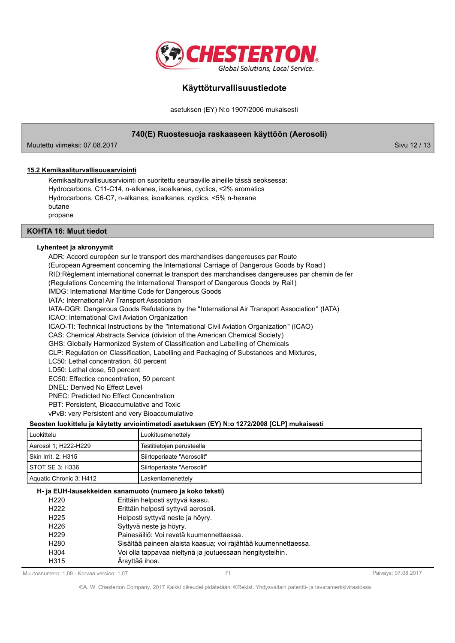

asetuksen (EY) N:o 1907/2006 mukaisesti

### 740(E) Ruostesuoja raskaaseen käyttöön (Aerosoli)

Muutettu viimeksi: 07.08.2017

Sivu 12 / 13

### 15.2 Kemikaaliturvallisuusarviointi

Kemikaaliturvallisuusarviointi on suoritettu seuraaville aineille tässä seoksessa: Hydrocarbons, C11-C14, n-alkanes, isoalkanes, cyclics, <2% aromatics Hydrocarbons, C6-C7, n-alkanes, isoalkanes, cyclics, <5% n-hexane butane propane

### **KOHTA 16: Muut tiedot**

### Lyhenteet ja akronyymit

ADR: Accord européen sur le transport des marchandises dangereuses par Route (European Agreement concerning the International Carriage of Dangerous Goods by Road) RID: Règlement international conernat le transport des marchandises dangereuses par chemin de fer (Regulations Concerning the International Transport of Dangerous Goods by Rail) **IMDG: International Maritime Code for Dangerous Goods** IATA: International Air Transport Association IATA-DGR: Dangerous Goods Refulations by the "International Air Transport Association" (IATA) ICAO: International Civil Aviation Organization ICAO-TI: Technical Instructions by the "International Civil Aviation Organization" (ICAO) CAS: Chemical Abstracts Service (division of the American Chemical Society) GHS: Globally Harmonized System of Classification and Labelling of Chemicals CLP: Regulation on Classification, Labelling and Packaging of Substances and Mixtures, LC50: Lethal concentration, 50 percent LD50: Lethal dose, 50 percent EC50: Effectice concentration, 50 percent DNEL: Derived No Effect Level **PNEC: Predicted No Effect Concentration** PBT: Persistent, Bioaccumulative and Toxic vPvB: very Persistent and very Bioaccumulative Seosten luokittelu ja käytetty arviointimetodi asetuksen (EY) N:o 1272/2008 [CLP] mukaisesti

| Luokittelu              | Luokitusmenettely            |
|-------------------------|------------------------------|
| Aerosol 1; H222-H229    | Testitietojen perusteella    |
| Skin Irrit. 2: H315     | l Siirtoperiaate "Aerosolit" |
| STOT SE 3: H336         | Siirtoperiaate "Aerosolit"   |
| Aquatic Chronic 3; H412 | Laskentamenettely            |

### H- ja EUH-lausekkeiden sanamuoto (numero ja koko teksti)

| H <sub>220</sub> | Erittäin helposti syttyvä kaasu.                               |  |
|------------------|----------------------------------------------------------------|--|
| H <sub>222</sub> | Erittäin helposti syttyvä aerosoli.                            |  |
| H <sub>225</sub> | Helposti syttyvä neste ja höyry.                               |  |
| H <sub>226</sub> | Syttyvä neste ja höyry.                                        |  |
| H <sub>229</sub> | Painesäiliö: Voi revetä kuumennettaessa.                       |  |
| H <sub>280</sub> | Sisältää paineen alaista kaasua; voi räjähtää kuumennettaessa. |  |
| H304             | Voi olla tappavaa nieltynä ja joutuessaan hengitysteihin.      |  |
| H315             | Ärsyttää ihoa.                                                 |  |

Muutosnumero: 1.08 - Korvaa version: 1.07

©A. W. Chesterton Company, 2017 Kaikki oikeudet pidätetään. ®Rekist. Yhdysvaltain patentti- ja tavaramerkkivirastossa